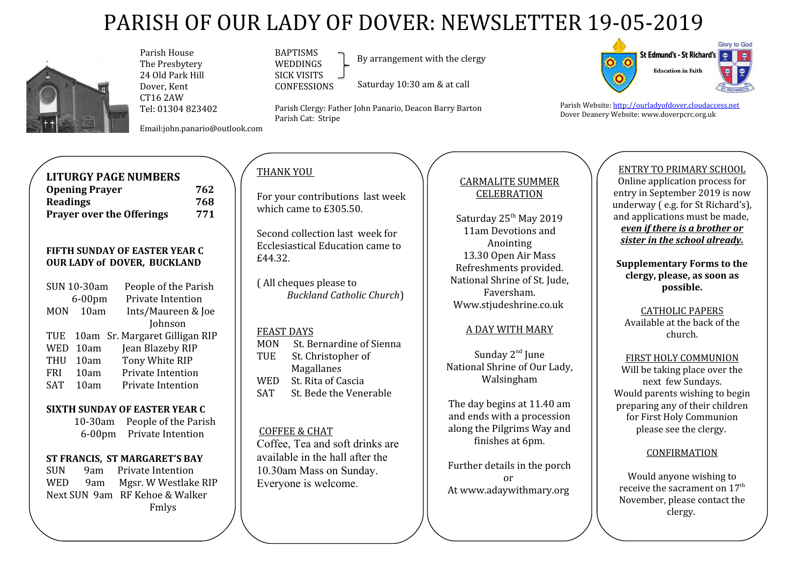# PARISH OF OUR LADY OF DOVER: NEWSLETTER 19-05-2019



 Parish House The Presbytery 24 Old Park Hill Dover, Kent CT16 2AW Tel: 01304 823402

Email:john.panario@outlook.com

#### BAPTISMS WEDDINGS SICK VISITS CONFESSIONS

By arrangement with the clergy

Saturday 10:30 am & at call

Parish Clergy: Father John Panario, Deacon Barry Barton Parish Cat: Stripe



Parish Website: [http://ourladyofdover.cloudaccess.net](http://ourladyofdover.cloudaccess.net/) Dover Deanery Website: www.doverpcrc.org.uk

# **LITURGY PAGE NUMBERS**

| <b>Opening Prayer</b>            | 762 |
|----------------------------------|-----|
| <b>Readings</b>                  | 768 |
| <b>Prayer over the Offerings</b> | 771 |

## **FIFTH SUNDAY OF EASTER YEAR C OUR LADY of DOVER, BUCKLAND**

|            | <b>SUN 10-30am</b> | People of the Parish           |
|------------|--------------------|--------------------------------|
|            | $6-00$ pm          | Private Intention              |
| <b>MON</b> | 10am               | Ints/Maureen & Joe             |
|            |                    | Johnson                        |
| <b>TUE</b> |                    | 10am Sr. Margaret Gilligan RIP |
| <b>WED</b> | 10am               | Jean Blazeby RIP               |
| <b>THU</b> | 10am               | Tony White RIP                 |
| <b>FRI</b> | 10am               | Private Intention              |
| <b>SAT</b> | 10am               | Private Intention              |
|            |                    |                                |

## **SIXTH SUNDAY OF EASTER YEAR C**

 10-30am People of the Parish 6-00pm Private Intention

## **ST FRANCIS, ST MARGARET'S BAY**

SUN 9am Private Intention WED 9am Mgsr. W Westlake RIP Next SUN 9am RF Kehoe & Walker Fmlys

# THANK YOU

For your contributions last week which came to £305.50.

Second collection last week for Ecclesiastical Education came to £44.32.

( All cheques please to *Buckland Catholic Church*)

#### FEAST DAYS

| <b>MON</b> | St. Bernardine of Sienna |
|------------|--------------------------|
| <b>TUE</b> | St. Christopher of       |
|            | Magallanes               |
| WED        | St. Rita of Cascia       |
| <b>SAT</b> | St. Bede the Venerable   |
|            |                          |

## COFFEE & CHAT

Coffee, Tea and soft drinks are available in the hall after the 10.30am Mass on Sunday. Everyone is welcome.

# CARMALITE SUMMER **CELEBRATION**

Saturday 25<sup>th</sup> May 2019 11am Devotions and Anointing 13.30 Open Air Mass Refreshments provided. National Shrine of St. Jude, Faversham. Www.stjudeshrine.co.uk

## A DAY WITH MARY

Sunday 2<sup>nd</sup> June National Shrine of Our Lady, Walsingham

The day begins at 11.40 am and ends with a procession along the Pilgrims Way and finishes at 6pm.

Further details in the porch or At www.adaywithmary.org

# ENTRY TO PRIMARY SCHOOL

Online application process for entry in September 2019 is now underway ( e.g. for St Richard's), and applications must be made, *even if there is a brother or sister in the school already.*

**Supplementary Forms to the clergy, please, as soon as possible.**

CATHOLIC PAPERS Available at the back of the church.

FIRST HOLY COMMUNION Will be taking place over the next few Sundays. Would parents wishing to begin preparing any of their children for First Holy Communion please see the clergy.

## **CONFIRMATION**

Would anyone wishing to receive the sacrament on  $17<sup>th</sup>$ November, please contact the clergy.